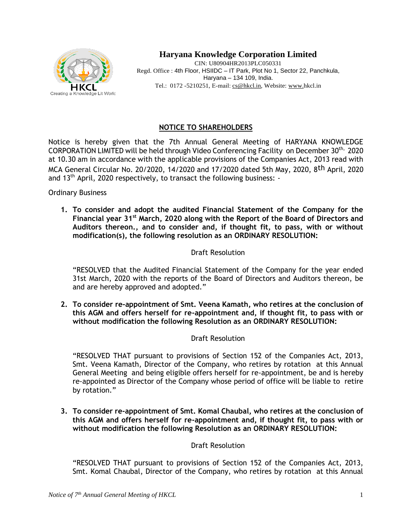

# **Haryana Knowledge Corporation Limited**

CIN: U80904HR2013PLC050331 Regd. Office : 4th Floor, HSIIDC – IT Park, Plot No 1, Sector 22, Panchkula, Haryana – 134 109, India. Tel.: 0172 -5210251, E-mail: [cs@hkcl.in,](mailto:cs@hkcl.in) Website[: www.h](http://www./)kcl.in

## **NOTICE TO SHAREHOLDERS**

Notice is hereby given that the 7th Annual General Meeting of HARYANA KNOWLEDGE CORPORATION LIMITED will be held through Video Conferencing Facility on December 30<sup>th,</sup> 2020 at 10.30 am in accordance with the applicable provisions of the Companies Act, 2013 read with MCA General Circular No. 20/2020, 14/2020 and 17/2020 dated 5th May, 2020, 8th April, 2020 and 13<sup>th</sup> April, 2020 respectively, to transact the following business: -

Ordinary Business

**1. To consider and adopt the audited Financial Statement of the Company for the Financial year 31st March, 2020 along with the Report of the Board of Directors and Auditors thereon., and to consider and, if thought fit, to pass, with or without modification(s), the following resolution as an ORDINARY RESOLUTION:**

## Draft Resolution

"RESOLVED that the Audited Financial Statement of the Company for the year ended 31st March, 2020 with the reports of the Board of Directors and Auditors thereon, be and are hereby approved and adopted."

**2. To consider re-appointment of Smt. Veena Kamath, who retires at the conclusion of this AGM and offers herself for re-appointment and, if thought fit, to pass with or without modification the following Resolution as an ORDINARY RESOLUTION:** 

## Draft Resolution

"RESOLVED THAT pursuant to provisions of Section 152 of the Companies Act, 2013, Smt. Veena Kamath, Director of the Company, who retires by rotation at this Annual General Meeting and being eligible offers herself for re-appointment, be and is hereby re-appointed as Director of the Company whose period of office will be liable to retire by rotation."

**3. To consider re-appointment of Smt. Komal Chaubal, who retires at the conclusion of this AGM and offers herself for re-appointment and, if thought fit, to pass with or without modification the following Resolution as an ORDINARY RESOLUTION:** 

## Draft Resolution

"RESOLVED THAT pursuant to provisions of Section 152 of the Companies Act, 2013, Smt. Komal Chaubal, Director of the Company, who retires by rotation at this Annual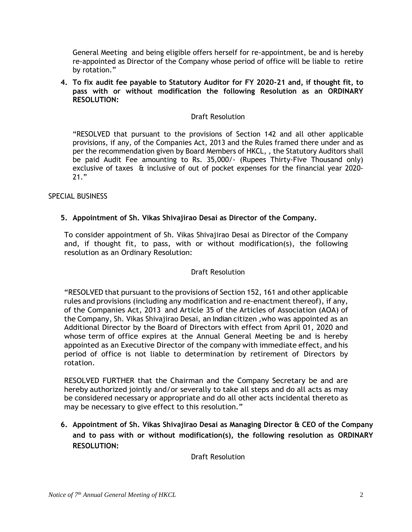General Meeting and being eligible offers herself for re-appointment, be and is hereby re-appointed as Director of the Company whose period of office will be liable to retire by rotation."

**4. To fix audit fee payable to Statutory Auditor for FY 2020-21 and, if thought fit, to pass with or without modification the following Resolution as an ORDINARY RESOLUTION:** 

## Draft Resolution

"RESOLVED that pursuant to the provisions of Section 142 and all other applicable provisions, if any, of the Companies Act, 2013 and the Rules framed there under and as per the recommendation given by Board Members of HKCL, , the Statutory Auditors shall be paid Audit Fee amounting to Rs. 35,000/- (Rupees Thirty-Five Thousand only) exclusive of taxes & inclusive of out of pocket expenses for the financial year 2020- 21."

## SPECIAL BUSINESS

## **5. Appointment of Sh. Vikas Shivajirao Desai as Director of the Company.**

To consider appointment of Sh. Vikas Shivajirao Desai as Director of the Company and, if thought fit, to pass, with or without modification(s), the following resolution as an Ordinary Resolution:

## Draft Resolution

"RESOLVED that pursuant to the provisions of Section 152, 161 and other applicable rules and provisions (including any modification and re‐enactment thereof), if any, of the Companies Act, 2013 and Article 35 of the Articles of Association (AOA) of the Company, Sh. Vikas Shivajirao Desai, an Indian citizen ,who was appointed as an Additional Director by the Board of Directors with effect from April 01, 2020 and whose term of office expires at the Annual General Meeting be and is hereby appointed as an Executive Director of the company with immediate effect, and his period of office is not liable to determination by retirement of Directors by rotation.

RESOLVED FURTHER that the Chairman and the Company Secretary be and are hereby authorized jointly and/or severally to take all steps and do all acts as may be considered necessary or appropriate and do all other acts incidental thereto as may be necessary to give effect to this resolution."

**6. Appointment of Sh. Vikas Shivajirao Desai as Managing Director & CEO of the Company and to pass with or without modification(s), the following resolution as ORDINARY RESOLUTION:** 

Draft Resolution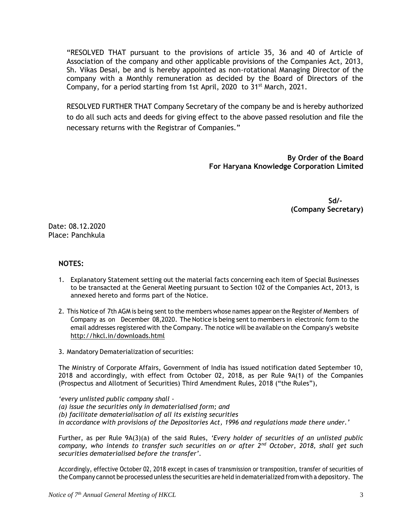"RESOLVED THAT pursuant to the provisions of article 35, 36 and 40 of Article of Association of the company and other applicable provisions of the Companies Act, 2013, Sh. Vikas Desai, be and is hereby appointed as non-rotational Managing Director of the company with a Monthly remuneration as decided by the Board of Directors of the Company, for a period starting from 1st April, 2020 to 31<sup>st</sup> March, 2021.

RESOLVED FURTHER THAT Company Secretary of the company be and is hereby authorized to do all such acts and deeds for giving effect to the above passed resolution and file the necessary returns with the Registrar of Companies."

> **By Order of the Board For Haryana Knowledge Corporation Limited**

> > **Sd/- (Company Secretary)**

Date: 08.12.2020 Place: Panchkula

#### **NOTES:**

- 1. Explanatory Statement setting out the material facts concerning each item of Special Businesses to be transacted at the General Meeting pursuant to Section 102 of the Companies Act, 2013, is annexed hereto and forms part of the Notice.
- 2. This Notice of 7th AGM is being sent to the members whose names appear on the Register of Members of Company as on December 08,2020. The Notice is being sentto members in electronic form to the email addresses registered with the Company. The notice will be available on the Company's website <http://hkcl.in/downloads.html>
- 3. Mandatory Dematerialization of securities:

The Ministry of Corporate Affairs, Government of India has issued notification dated September 10, 2018 and accordingly, with effect from October 02, 2018, as per Rule 9A(1) of the Companies (Prospectus and Allotment of Securities) Third Amendment Rules, 2018 ("the Rules"),

*'every unlisted public company shall - (a) issue the securities only in dematerialised form; and (b) facilitate dematerialisation of all its existing securities in accordance with provisions of the Depositories Act, 1996 and regulations made there under.'*

Further, as per Rule 9A(3)(a) of the said Rules, *'Every holder of securities of an unlisted public company, who intends to transfer such securities on or after 2nd October, 2018, shall get such securities dematerialised before the transfer'.*

Accordingly, effective October 02, 2018 except in cases of transmission or transposition, transfer of securities of the Company cannot be processed unless the securities are held in dematerialized from with a depository. The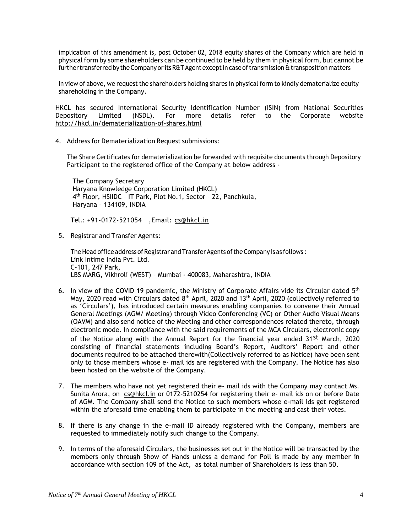implication of this amendment is, post October 02, 2018 equity shares of the Company which are held in physical form by some shareholders can be continued to be held by them in physical form, but cannot be further transferred by the Company or its R&T Agent except in case of transmission & transposition matters

In view of above, we request the shareholders holding shares in physical form to kindly dematerialize equity shareholding in the Company.

HKCL has secured International Security Identification Number (ISIN) from National Securities Depository Limited (NSDL)**.** For more details refer to the Corporate website <http://hkcl.in/dematerialization-of-shares.html>

4. Address for Dematerialization Request submissions:

The Share Certificates for dematerialization be forwarded with requisite documents through Depository Participant to the registered office of the Company at below address ‐

The Company Secretary Haryana Knowledge Corporation Limited (HKCL) 4 th Floor, HSIIDC – IT Park, Plot No.1, Sector – 22, Panchkula, Haryana – 134109, INDIA

Tel.: +91-0172-521054 ,Email: [cs@hkcl.in](mailto:cs@hkcl.in)

5. Registrar and Transfer Agents:

The Head office address of Registrar and Transfer Agents of the Company is as follows : Link Intime India Pvt. Ltd. C-101, 247 Park, LBS MARG, Vikhroli (WEST) – Mumbai - 400083, Maharashtra, INDIA

- 6. In view of the COVID 19 pandemic, the Ministry of Corporate Affairs vide its Circular dated  $5<sup>th</sup>$ May, 2020 read with Circulars dated  $8^{\text{th}}$  April, 2020 and 13<sup>th</sup> April, 2020 (collectively referred to as 'Circulars'), has introduced certain measures enabling companies to convene their Annual General Meetings (AGM/ Meeting) through Video Conferencing (VC) or Other Audio Visual Means (OAVM) and also send notice of the Meeting and other correspondences related thereto, through electronic mode. In compliance with the said requirements of the MCA Circulars, electronic copy of the Notice along with the Annual Report for the financial year ended 31<sup>st</sup> March, 2020 consisting of financial statements including Board's Report, Auditors' Report and other documents required to be attached therewith(Collectively referred to as Notice) have been sent only to those members whose e- mail ids are registered with the Company. The Notice has also been hosted on the website of the Company.
- 7. The members who have not yet registered their e- mail ids with the Company may contact Ms. Sunita Arora, on [cs@hkcl.in](mailto:cs@hkcl.in) or 0172-5210254 for registering their e- mail ids on or before Date of AGM. The Company shall send the Notice to such members whose e-mail ids get registered within the aforesaid time enabling them to participate in the meeting and cast their votes.
- 8. If there is any change in the e-mail ID already registered with the Company, members are requested to immediately notify such change to the Company.
- 9. In terms of the aforesaid Circulars, the businesses set out in the Notice will be transacted by the members only through Show of Hands unless a demand for Poll is made by any member in accordance with section 109 of the Act, as total number of Shareholders is less than 50.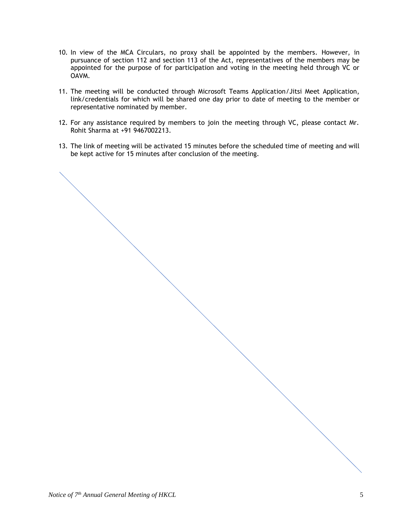- 10. In view of the MCA Circulars, no proxy shall be appointed by the members. However, in pursuance of section 112 and section 113 of the Act, representatives of the members may be appointed for the purpose of for participation and voting in the meeting held through VC or OAVM.
- 11. The meeting will be conducted through Microsoft Teams Application/Jitsi Meet Application, link/credentials for which will be shared one day prior to date of meeting to the member or representative nominated by member.
- 12. For any assistance required by members to join the meeting through VC, please contact Mr. Rohit Sharma at +91 9467002213.
- 13. The link of meeting will be activated 15 minutes before the scheduled time of meeting and will be kept active for 15 minutes after conclusion of the meeting.

*Notice of 7 th Annual General Meeting of HKCL* 5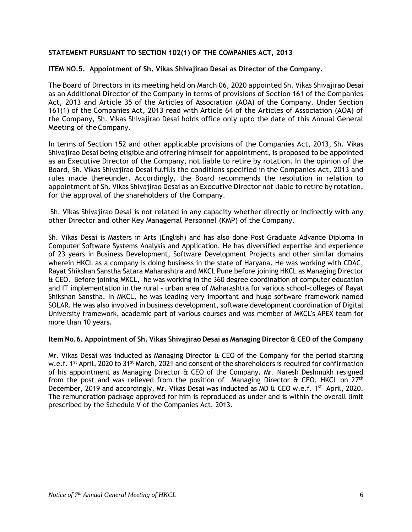## **STATEMENT PURSUANT TO SECTION 102(1) OF THE COMPANIES ACT, 2013**

#### **ITEM NO.5. Appointment of Sh. Vikas Shivajirao Desai as Director of the Company.**

The Board of Directors in its meeting held on March 06, 2020 appointed Sh. Vikas Shivajirao Desai as an Additional Director of the Company in terms of provisions of Section 161 of the Companies Act, 2013 and Article 35 of the Articles of Association (AOA) of the Company. Under Section 161(1) of the Companies Act, 2013 read with Article 64 of the Articles of Association (AOA) of the Company, Sh. Vikas Shivajirao Desai holds office only upto the date of this Annual General Meeting of the Company.

In terms of Section 152 and other applicable provisions of the Companies Act, 2013, Sh. Vikas Shivajirao Desai being eligible and offering himself for appointment, is proposed to be appointed as an Executive Director of the Company, not liable to retire by rotation. In the opinion of the Board, Sh. Vikas Shivajirao Desai fulfills the conditions specified in the Companies Act, 2013 and rules made thereunder. Accordingly, the Board recommends the resolution in relation to appointment of Sh. Vikas Shivajirao Desai as an Executive Director not liable to retire by rotation, for the approval of the shareholders of the Company.

Sh. Vikas Shivajirao Desai is not related in any capacity whether directly or indirectly with any other Director and other Key Managerial Personnel (KMP) of the Company.

Sh. Vikas Desai is Masters in Arts (English) and has also done Post Graduate Advance Diploma In Computer Software Systems Analysis and Application. He has diversified expertise and experience of 23 years in Business Development, Software Development Projects and other similar domains wherein HKCL as a company is doing business in the state of Haryana. He was working with CDAC, Rayat Shikshan Sanstha Satara Maharashtra and MKCL Pune before joining HKCL as Managing Director & CEO. Before joining MKCL, he was working in the 360 degree coordination of computer education and IT implementation in the rural - urban area of Maharashtra for various school-colleges of Rayat Shikshan Sanstha. In MKCL, he was leading very important and huge software framework named SOLAR. He was also involved in business development, software development coordination of Digital University framework, academic part of various courses and was member of MKCL's APEX team for more than 10 years.

#### **Item No.6. Appointment of Sh. Vikas Shivajirao Desai as Managing Director & CEO of the Company**

Mr. Vikas Desai was inducted as Managing Director & CEO of the Company for the period starting w.e.f. 1<sup>st</sup> April, 2020 to 31<sup>st</sup> March, 2021 and consent of the shareholders is required for confirmation of his appointment as Managing Director & CEO of the Company. Mr. Naresh Deshmukh resigned from the post and was relieved from the position of Managing Director & CEO, HKCL on 27th December, 2019 and accordingly, Mr. Vikas Desai was inducted as MD  $\&$  CEO w.e.f. 1<sup>st</sup> April, 2020. The remuneration package approved for him is reproduced as under and is within the overall limit prescribed by the Schedule V of the Companies Act, 2013.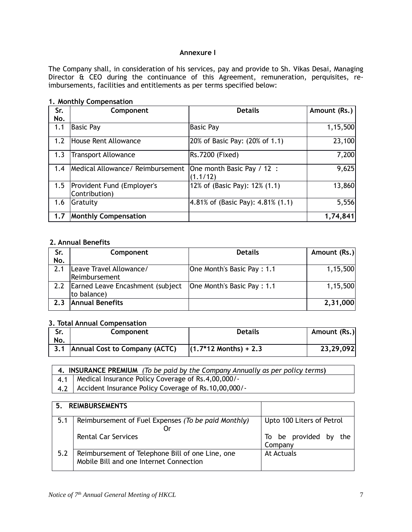#### **Annexure I**

The Company shall, in consideration of his services, pay and provide to Sh. Vikas Desai, Managing Director & CEO during the continuance of this Agreement, remuneration, perquisites, reimbursements, facilities and entitlements as per terms specified below:

#### **1. Monthly Compensation**

| Sr. | Component                                   | <b>Details</b>                           | Amount (Rs.) |
|-----|---------------------------------------------|------------------------------------------|--------------|
| No. |                                             |                                          |              |
| 1.1 | <b>Basic Pay</b>                            | <b>Basic Pay</b>                         | 1,15,500     |
| 1.2 | House Rent Allowance                        | 20% of Basic Pay: (20% of 1.1)           | 23,100       |
| 1.3 | <b>Transport Allowance</b>                  | Rs.7200 (Fixed)                          | 7,200        |
| 1.4 | Medical Allowance/ Reimbursement            | One month Basic Pay / 12 :<br>(1.1/12)   | 9,625        |
| 1.5 | Provident Fund (Employer's<br>Contribution) | 12% of (Basic Pay): 12% (1.1)            | 13,860       |
| 1.6 | Gratuity                                    | $ 4.81\%$ of (Basic Pay): $4.81\%$ (1.1) | 5,556        |
| 1.7 | <b>Monthly Compensation</b>                 |                                          | 1,74,841     |

#### **2. Annual Benefits**

| Sr. | Component                            | <b>Details</b>             | Amount (Rs.) |
|-----|--------------------------------------|----------------------------|--------------|
| No. |                                      |                            |              |
| 2.1 | Leave Travel Allowance/              | One Month's Basic Pay: 1.1 | 1,15,500     |
|     | Reimbursement                        |                            |              |
|     | 2.2 Earned Leave Encashment (subject | One Month's Basic Pay: 1.1 | 1,15,500     |
|     | to balance)                          |                            |              |
| 2.3 | <b>Annual Benefits</b>               |                            | 2,31,000     |
|     |                                      |                            |              |

## **3. Total Annual Compensation**

| Sr.<br>No. | Component                         | <b>Details</b>          | Amount (Rs.) |
|------------|-----------------------------------|-------------------------|--------------|
|            | 3.1 Annual Cost to Company (ACTC) | $(1.7*12$ Months) + 2.3 | 23,29,092    |

| 4. INSURANCE PREMIUM (To be paid by the Company Annually as per policy terms) |                                                          |  |
|-------------------------------------------------------------------------------|----------------------------------------------------------|--|
|                                                                               | 4.1   Medical Insurance Policy Coverage of Rs.4,00,000/- |  |
| 4.2                                                                           | Accident Insurance Policy Coverage of Rs.10,00,000/-     |  |

| 5.  | <b>REIMBURSEMENTS</b>                                                                       |                                     |
|-----|---------------------------------------------------------------------------------------------|-------------------------------------|
| 5.1 | Reimbursement of Fuel Expenses (To be paid Monthly)<br>0r                                   | Upto 100 Liters of Petrol           |
|     | <b>Rental Car Services</b>                                                                  | To be provided by<br>the<br>Company |
| 5.2 | Reimbursement of Telephone Bill of one Line, one<br>Mobile Bill and one Internet Connection | At Actuals                          |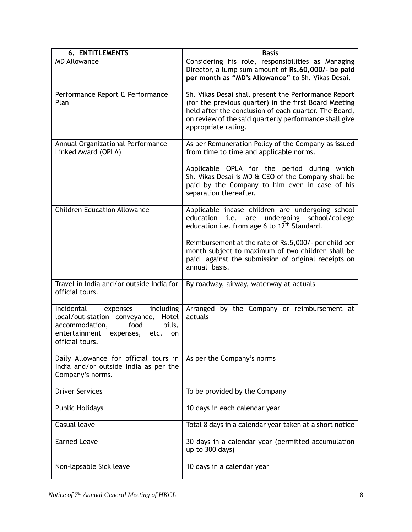| <b>6. ENTITLEMENTS</b>                                                                                                                                                        | <b>Basis</b>                                                                                                                                                                                                                                            |
|-------------------------------------------------------------------------------------------------------------------------------------------------------------------------------|---------------------------------------------------------------------------------------------------------------------------------------------------------------------------------------------------------------------------------------------------------|
| <b>MD Allowance</b>                                                                                                                                                           | Considering his role, responsibilities as Managing<br>Director, a lump sum amount of Rs.60,000/- be paid<br>per month as "MD's Allowance" to Sh. Vikas Desai.                                                                                           |
| Performance Report & Performance<br>Plan                                                                                                                                      | Sh. Vikas Desai shall present the Performance Report<br>(for the previous quarter) in the first Board Meeting<br>held after the conclusion of each quarter. The Board,<br>on review of the said quarterly performance shall give<br>appropriate rating. |
| Annual Organizational Performance<br>Linked Award (OPLA)                                                                                                                      | As per Remuneration Policy of the Company as issued<br>from time to time and applicable norms.                                                                                                                                                          |
|                                                                                                                                                                               | Applicable OPLA for the period during which<br>Sh. Vikas Desai is MD & CEO of the Company shall be<br>paid by the Company to him even in case of his<br>separation thereafter.                                                                          |
| <b>Children Education Allowance</b>                                                                                                                                           | Applicable incase children are undergoing school<br>i.e.<br>undergoing<br>school/college<br>education<br>are<br>education i.e. from age 6 to 12 <sup>th</sup> Standard.                                                                                 |
|                                                                                                                                                                               | Reimbursement at the rate of Rs.5,000/- per child per<br>month subject to maximum of two children shall be<br>paid against the submission of original receipts on<br>annual basis.                                                                      |
| Travel in India and/or outside India for<br>official tours.                                                                                                                   | By roadway, airway, waterway at actuals                                                                                                                                                                                                                 |
| Incidental<br>including<br>expenses<br>local/out-station conveyance, Hotel<br>accommodation,<br>bills,<br>food<br>entertainment<br>etc.<br>expenses,<br>on<br>official tours. | Arranged by the Company or reimbursement at<br>actuals                                                                                                                                                                                                  |
| Daily Allowance for official tours in<br>India and/or outside India as per the<br>Company's norms.                                                                            | As per the Company's norms                                                                                                                                                                                                                              |
| <b>Driver Services</b>                                                                                                                                                        | To be provided by the Company                                                                                                                                                                                                                           |
| <b>Public Holidays</b>                                                                                                                                                        | 10 days in each calendar year                                                                                                                                                                                                                           |
| Casual leave                                                                                                                                                                  | Total 8 days in a calendar year taken at a short notice                                                                                                                                                                                                 |
| <b>Earned Leave</b>                                                                                                                                                           | 30 days in a calendar year (permitted accumulation<br>up to 300 days)                                                                                                                                                                                   |
| Non-lapsable Sick leave                                                                                                                                                       | 10 days in a calendar year                                                                                                                                                                                                                              |